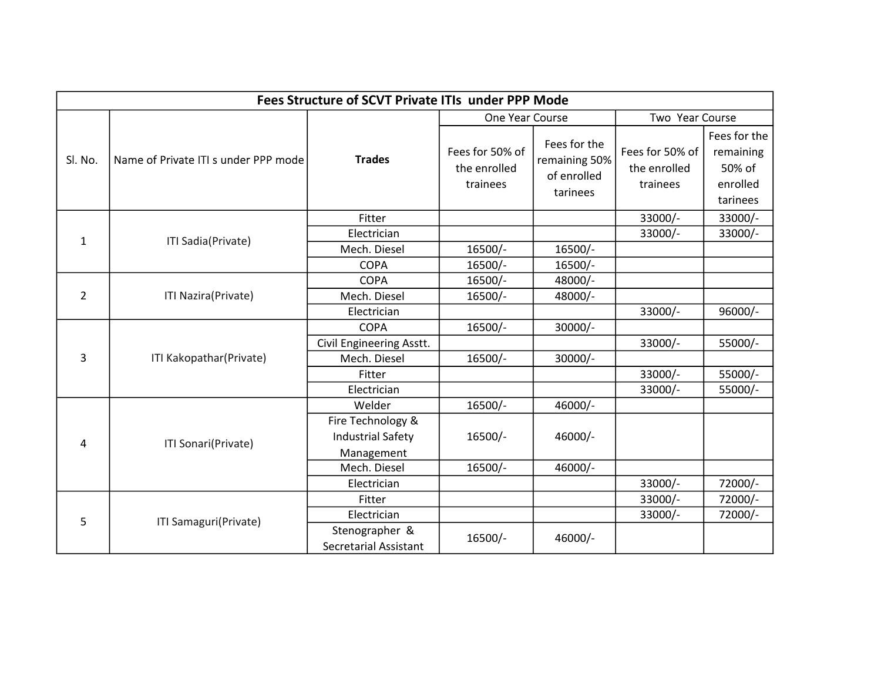| <b>Fees Structure of SCVT Private ITIs under PPP Mode</b> |                                      |                              |                                             |                                                          |                                             |                                                             |  |  |  |  |
|-----------------------------------------------------------|--------------------------------------|------------------------------|---------------------------------------------|----------------------------------------------------------|---------------------------------------------|-------------------------------------------------------------|--|--|--|--|
|                                                           |                                      |                              | One Year Course                             |                                                          | Two Year Course                             |                                                             |  |  |  |  |
| Sl. No.                                                   | Name of Private ITI s under PPP mode | <b>Trades</b>                | Fees for 50% of<br>the enrolled<br>trainees | Fees for the<br>remaining 50%<br>of enrolled<br>tarinees | Fees for 50% of<br>the enrolled<br>trainees | Fees for the<br>remaining<br>50% of<br>enrolled<br>tarinees |  |  |  |  |
| $\mathbf{1}$                                              | ITI Sadia(Private)                   | Fitter                       |                                             |                                                          | 33000/-                                     | 33000/-                                                     |  |  |  |  |
|                                                           |                                      | Electrician                  |                                             |                                                          | 33000/-                                     | 33000/-                                                     |  |  |  |  |
|                                                           |                                      | Mech. Diesel                 | 16500/-                                     | 16500/-                                                  |                                             |                                                             |  |  |  |  |
|                                                           |                                      | <b>COPA</b>                  | 16500/-                                     | 16500/-                                                  |                                             |                                                             |  |  |  |  |
| $\overline{2}$                                            | ITI Nazira(Private)                  | <b>COPA</b>                  | 16500/-                                     | 48000/-                                                  |                                             |                                                             |  |  |  |  |
|                                                           |                                      | Mech. Diesel                 | 16500/-                                     | 48000/-                                                  |                                             |                                                             |  |  |  |  |
|                                                           |                                      | Electrician                  |                                             |                                                          | 33000/-                                     | 96000/-                                                     |  |  |  |  |
| 3                                                         | ITI Kakopathar(Private)              | <b>COPA</b>                  | 16500/-                                     | 30000/-                                                  |                                             |                                                             |  |  |  |  |
|                                                           |                                      | Civil Engineering Asstt.     |                                             |                                                          | 33000/-                                     | 55000/-                                                     |  |  |  |  |
|                                                           |                                      | Mech. Diesel                 | 16500/-                                     | 30000/-                                                  |                                             |                                                             |  |  |  |  |
|                                                           |                                      | Fitter                       |                                             |                                                          | 33000/-                                     | 55000/-                                                     |  |  |  |  |
|                                                           |                                      | Electrician                  |                                             |                                                          | 33000/-                                     | 55000/-                                                     |  |  |  |  |
| 4                                                         | ITI Sonari(Private)                  | Welder                       | 16500/-                                     | 46000/-                                                  |                                             |                                                             |  |  |  |  |
|                                                           |                                      | Fire Technology &            | 16500/-                                     | 46000/-                                                  |                                             |                                                             |  |  |  |  |
|                                                           |                                      | <b>Industrial Safety</b>     |                                             |                                                          |                                             |                                                             |  |  |  |  |
|                                                           |                                      | Management                   |                                             |                                                          |                                             |                                                             |  |  |  |  |
|                                                           |                                      | Mech. Diesel                 | 16500/-                                     | 46000/-                                                  |                                             |                                                             |  |  |  |  |
|                                                           |                                      | Electrician                  |                                             |                                                          | 33000/-                                     | 72000/-                                                     |  |  |  |  |
| 5                                                         | ITI Samaguri(Private)                | Fitter                       |                                             |                                                          | 33000/-                                     | 72000/-                                                     |  |  |  |  |
|                                                           |                                      | Electrician                  |                                             |                                                          | 33000/-                                     | 72000/-                                                     |  |  |  |  |
|                                                           |                                      | Stenographer &               | 16500/-                                     | 46000/-                                                  |                                             |                                                             |  |  |  |  |
|                                                           |                                      | <b>Secretarial Assistant</b> |                                             |                                                          |                                             |                                                             |  |  |  |  |